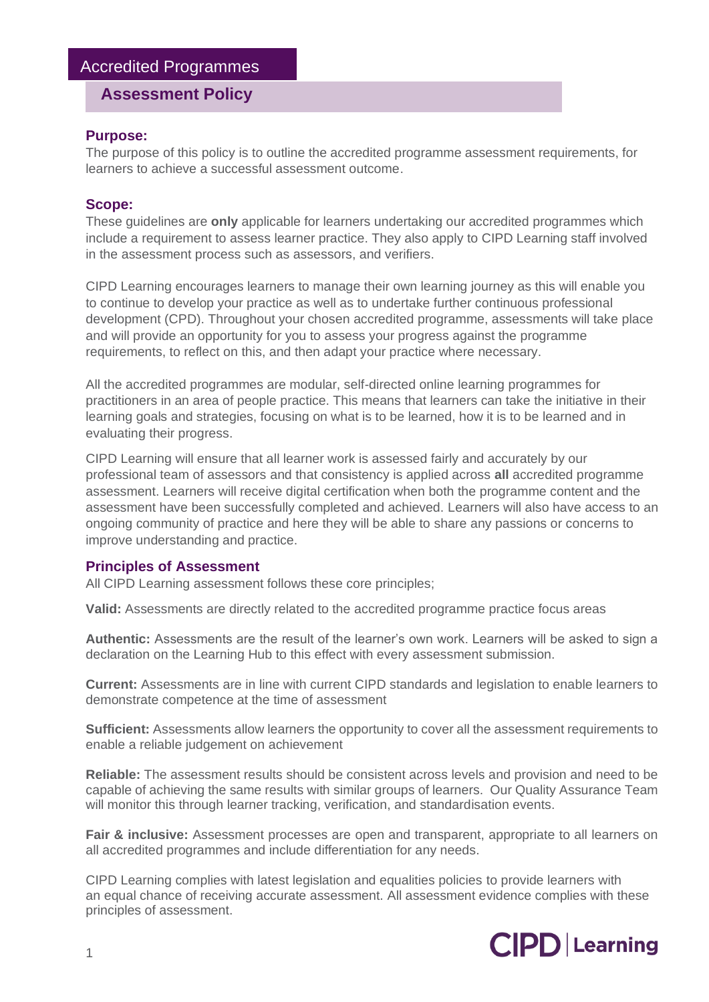# **Assessment Policy**

## **Purpose:**

The purpose of this policy is to outline the accredited programme assessment requirements, for learners to achieve a successful assessment outcome.

## **Scope:**

These guidelines are **only** applicable for learners undertaking our accredited programmes which include a requirement to assess learner practice. They also apply to CIPD Learning staff involved in the assessment process such as assessors, and verifiers.

CIPD Learning encourages learners to manage their own learning journey as this will enable you to continue to develop your practice as well as to undertake further continuous professional development (CPD). Throughout your chosen accredited programme, assessments will take place and will provide an opportunity for you to assess your progress against the programme requirements, to reflect on this, and then adapt your practice where necessary.

All the accredited programmes are modular, self-directed online learning programmes for practitioners in an area of people practice. This means that learners can take the initiative in their learning goals and strategies, focusing on what is to be learned, how it is to be learned and in evaluating their progress.

CIPD Learning will ensure that all learner work is assessed fairly and accurately by our professional team of assessors and that consistency is applied across **all** accredited programme assessment. Learners will receive digital certification when both the programme content and the assessment have been successfully completed and achieved. Learners will also have access to an ongoing community of practice and here they will be able to share any passions or concerns to improve understanding and practice.

## **Principles of Assessment**

All CIPD Learning assessment follows these core principles;

**Valid:** Assessments are directly related to the accredited programme practice focus areas

**Authentic:** Assessments are the result of the learner's own work. Learners will be asked to sign a declaration on the Learning Hub to this effect with every assessment submission.

**Current:** Assessments are in line with current CIPD standards and legislation to enable learners to demonstrate competence at the time of assessment

**Sufficient:** Assessments allow learners the opportunity to cover all the assessment requirements to enable a reliable judgement on achievement

**Reliable:** The assessment results should be consistent across levels and provision and need to be capable of achieving the same results with similar groups of learners. Our Quality Assurance Team will monitor this through learner tracking, verification, and standardisation events.

**Fair & inclusive:** Assessment processes are open and transparent, appropriate to all learners on all accredited programmes and include differentiation for any needs.

CIPD Learning complies with latest legislation and equalities policies to provide learners with an equal chance of receiving accurate assessment. All assessment evidence complies with these principles of assessment.

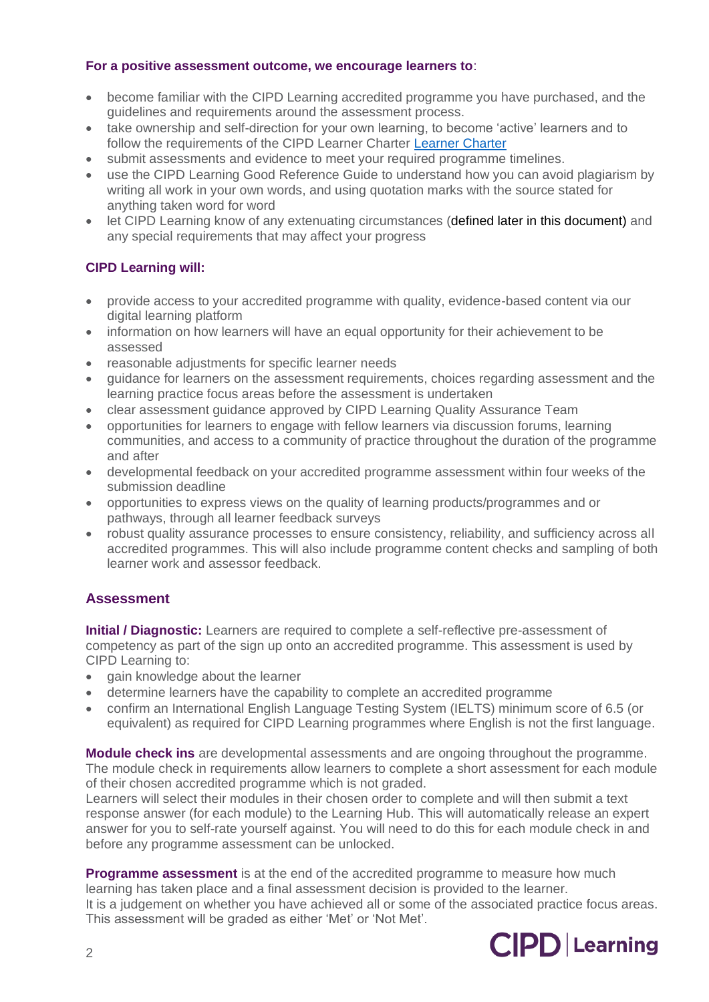## **For a positive assessment outcome, we encourage learners to**:

- become familiar with the CIPD Learning accredited programme you have purchased, and the guidelines and requirements around the assessment process.
- take ownership and self-direction for your own learning, to become 'active' learners and to follow the requirements of the CIPD Learner Charter [Learner Charter](https://www.cipd.co.uk/Images/learner-charter-may-2022_tcm18-105733.pdf)
- submit assessments and evidence to meet your required programme timelines.
- use the CIPD Learning Good Reference Guide to understand how you can avoid plagiarism by writing all work in your own words, and using quotation marks with the source stated for anything taken word for word
- let CIPD Learning know of any extenuating circumstances (defined later in this document) and any special requirements that may affect your progress

# **CIPD Learning will:**

- provide access to your accredited programme with quality, evidence-based content via our digital learning platform
- information on how learners will have an equal opportunity for their achievement to be assessed
- reasonable adjustments for specific learner needs
- guidance for learners on the assessment requirements, choices regarding assessment and the learning practice focus areas before the assessment is undertaken
- clear assessment guidance approved by CIPD Learning Quality Assurance Team
- opportunities for learners to engage with fellow learners via discussion forums, learning communities, and access to a community of practice throughout the duration of the programme and after
- developmental feedback on your accredited programme assessment within four weeks of the submission deadline
- opportunities to express views on the quality of learning products/programmes and or pathways, through all learner feedback surveys
- robust quality assurance processes to ensure consistency, reliability, and sufficiency across all accredited programmes. This will also include programme content checks and sampling of both learner work and assessor feedback.

# **Assessment**

**Initial / Diagnostic:** Learners are required to complete a self-reflective pre-assessment of competency as part of the sign up onto an accredited programme. This assessment is used by CIPD Learning to:

- gain knowledge about the learner
- determine learners have the capability to complete an accredited programme
- confirm an International English Language Testing System (IELTS) minimum score of 6.5 (or equivalent) as required for CIPD Learning programmes where English is not the first language.

**Module check ins** are developmental assessments and are ongoing throughout the programme. The module check in requirements allow learners to complete a short assessment for each module of their chosen accredited programme which is not graded.

Learners will select their modules in their chosen order to complete and will then submit a text response answer (for each module) to the Learning Hub. This will automatically release an expert answer for you to self-rate yourself against. You will need to do this for each module check in and before any programme assessment can be unlocked.

**Programme assessment** is at the end of the accredited programme to measure how much learning has taken place and a final assessment decision is provided to the learner. It is a judgement on whether you have achieved all or some of the associated practice focus areas. This assessment will be graded as either 'Met' or 'Not Met'.

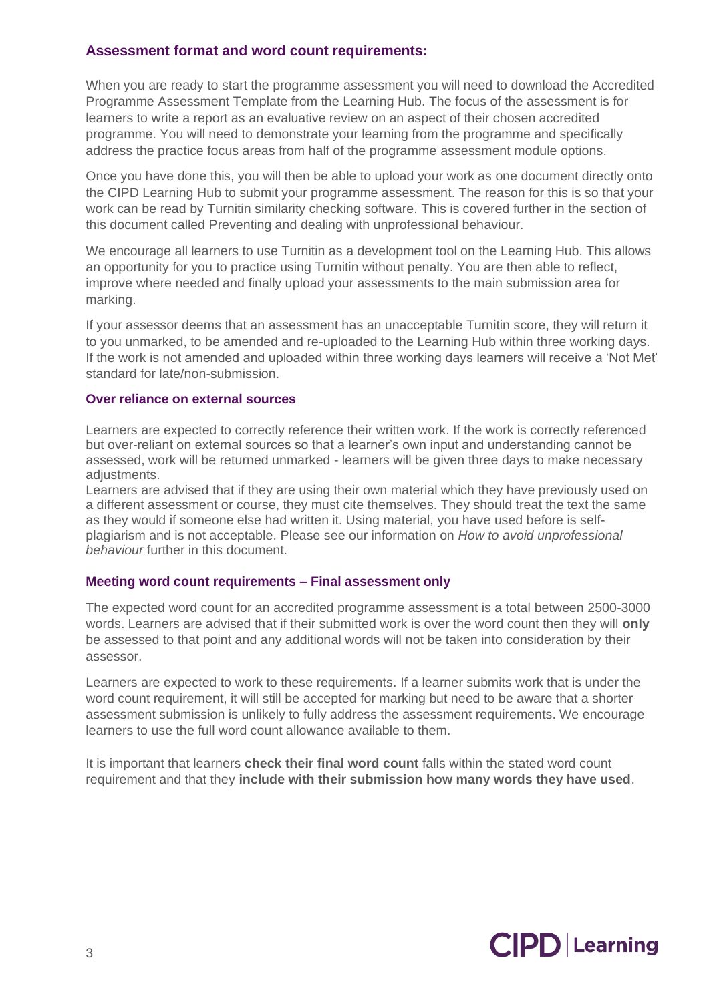## **Assessment format and word count requirements:**

When you are ready to start the programme assessment you will need to download the Accredited Programme Assessment Template from the Learning Hub. The focus of the assessment is for learners to write a report as an evaluative review on an aspect of their chosen accredited programme. You will need to demonstrate your learning from the programme and specifically address the practice focus areas from half of the programme assessment module options.

Once you have done this, you will then be able to upload your work as one document directly onto the CIPD Learning Hub to submit your programme assessment. The reason for this is so that your work can be read by Turnitin similarity checking software. This is covered further in the section of this document called Preventing and dealing with unprofessional behaviour.

We encourage all learners to use Turnitin as a development tool on the Learning Hub. This allows an opportunity for you to practice using Turnitin without penalty. You are then able to reflect, improve where needed and finally upload your assessments to the main submission area for marking.

If your assessor deems that an assessment has an unacceptable Turnitin score, they will return it to you unmarked, to be amended and re-uploaded to the Learning Hub within three working days. If the work is not amended and uploaded within three working days learners will receive a 'Not Met' standard for late/non-submission.

#### **Over reliance on external sources**

Learners are expected to correctly reference their written work. If the work is correctly referenced but over-reliant on external sources so that a learner's own input and understanding cannot be assessed, work will be returned unmarked - learners will be given three days to make necessary adjustments.

Learners are advised that if they are using their own material which they have previously used on a different assessment or course, they must cite themselves. They should treat the text the same as they would if someone else had written it. Using material, you have used before is selfplagiarism and is not acceptable. Please see our information on *How to avoid unprofessional behaviour* further in this document.

## **Meeting word count requirements – Final assessment only**

The expected word count for an accredited programme assessment is a total between 2500-3000 words. Learners are advised that if their submitted work is over the word count then they will **only** be assessed to that point and any additional words will not be taken into consideration by their assessor.

Learners are expected to work to these requirements. If a learner submits work that is under the word count requirement, it will still be accepted for marking but need to be aware that a shorter assessment submission is unlikely to fully address the assessment requirements. We encourage learners to use the full word count allowance available to them.

It is important that learners **check their final word count** falls within the stated word count requirement and that they **include with their submission how many words they have used**.

# **CIPD** Learning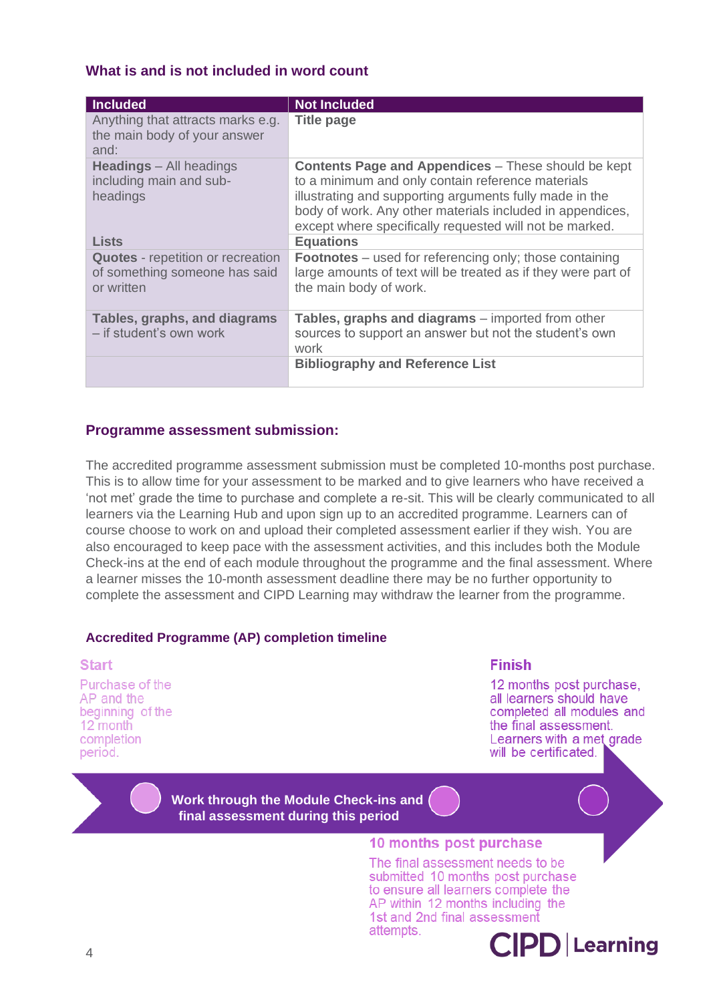## **What is and is not included in word count**

| <b>Included</b>                                                                         | <b>Not Included</b>                                                                                                                                                                                                                                                                                |
|-----------------------------------------------------------------------------------------|----------------------------------------------------------------------------------------------------------------------------------------------------------------------------------------------------------------------------------------------------------------------------------------------------|
| Anything that attracts marks e.g.<br>the main body of your answer<br>and:               | <b>Title page</b>                                                                                                                                                                                                                                                                                  |
| <b>Headings</b> – All headings<br>including main and sub-<br>headings                   | <b>Contents Page and Appendices</b> – These should be kept<br>to a minimum and only contain reference materials<br>illustrating and supporting arguments fully made in the<br>body of work. Any other materials included in appendices,<br>except where specifically requested will not be marked. |
| <b>Lists</b>                                                                            | <b>Equations</b>                                                                                                                                                                                                                                                                                   |
| <b>Quotes</b> - repetition or recreation<br>of something someone has said<br>or written | <b>Footnotes</b> – used for referencing only; those containing<br>large amounts of text will be treated as if they were part of<br>the main body of work.                                                                                                                                          |
| Tables, graphs, and diagrams<br>- if student's own work                                 | <b>Tables, graphs and diagrams</b> – imported from other<br>sources to support an answer but not the student's own<br>work                                                                                                                                                                         |
|                                                                                         | <b>Bibliography and Reference List</b>                                                                                                                                                                                                                                                             |

## **Programme assessment submission:**

The accredited programme assessment submission must be completed 10-months post purchase. This is to allow time for your assessment to be marked and to give learners who have received a 'not met' grade the time to purchase and complete a re-sit. This will be clearly communicated to all learners via the Learning Hub and upon sign up to an accredited programme. Learners can of course choose to work on and upload their completed assessment earlier if they wish. You are also encouraged to keep pace with the assessment activities, and this includes both the Module Check-ins at the end of each module throughout the programme and the final assessment. Where a learner misses the 10-month assessment deadline there may be no further opportunity to complete the assessment and CIPD Learning may withdraw the learner from the programme.

## **Accredited Programme (AP) completion timeline**

#### **Start**

Purchase of the AP and the beginning of the 12 month completion period.

#### **Finish**

12 months post purchase. all learners should have completed all modules and the final assessment Learners with a met grade will be certificated.

**Work through the Module Check-ins and final assessment during this period**

#### 10 months post purchase

The final assessment needs to be submitted 10 months post purchase to ensure all learners complete the AP within 12 months including the 1st and 2nd final assessment attempts.

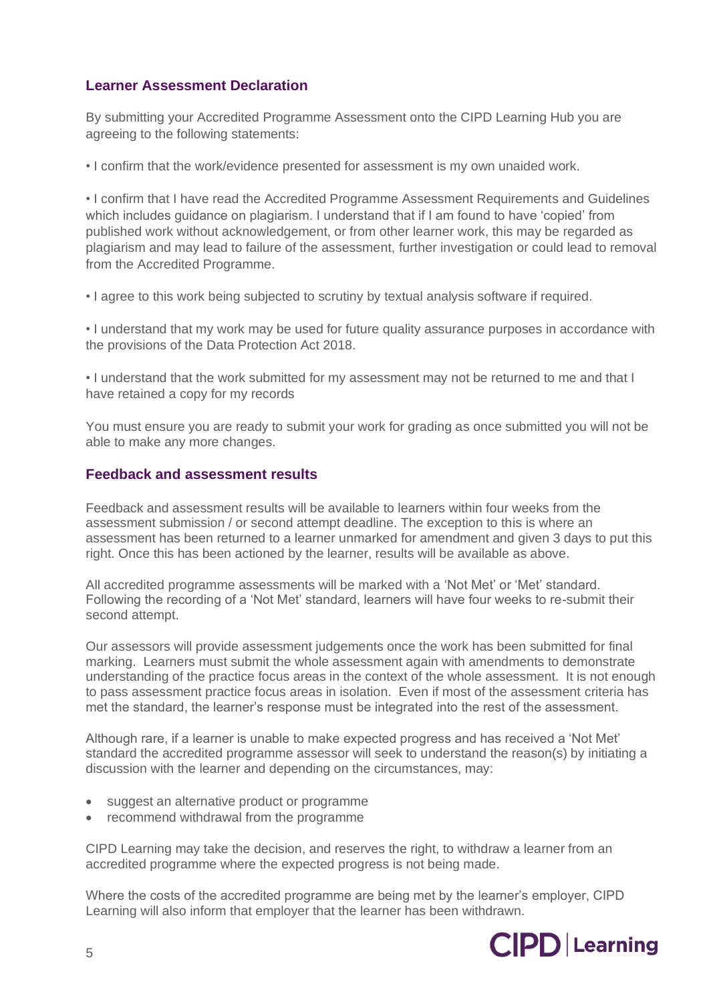# **Learner Assessment Declaration**

By submitting your Accredited Programme Assessment onto the CIPD Learning Hub you are agreeing to the following statements:

• I confirm that the work/evidence presented for assessment is my own unaided work.

• I confirm that I have read the Accredited Programme Assessment Requirements and Guidelines which includes guidance on plagiarism. I understand that if I am found to have 'copied' from published work without acknowledgement, or from other learner work, this may be regarded as plagiarism and may lead to failure of the assessment, further investigation or could lead to removal from the Accredited Programme.

• I agree to this work being subjected to scrutiny by textual analysis software if required.

• I understand that my work may be used for future quality assurance purposes in accordance with the provisions of the Data Protection Act 2018.

• I understand that the work submitted for my assessment may not be returned to me and that I have retained a copy for my records

You must ensure you are ready to submit your work for grading as once submitted you will not be able to make any more changes.

## **Feedback and assessment results**

Feedback and assessment results will be available to learners within four weeks from the assessment submission / or second attempt deadline. The exception to this is where an assessment has been returned to a learner unmarked for amendment and given 3 days to put this right. Once this has been actioned by the learner, results will be available as above.

All accredited programme assessments will be marked with a 'Not Met' or 'Met' standard. Following the recording of a 'Not Met' standard, learners will have four weeks to re-submit their second attempt.

Our assessors will provide assessment judgements once the work has been submitted for final marking. Learners must submit the whole assessment again with amendments to demonstrate understanding of the practice focus areas in the context of the whole assessment. It is not enough to pass assessment practice focus areas in isolation. Even if most of the assessment criteria has met the standard, the learner's response must be integrated into the rest of the assessment.

Although rare, if a learner is unable to make expected progress and has received a 'Not Met' standard the accredited programme assessor will seek to understand the reason(s) by initiating a discussion with the learner and depending on the circumstances, may:

- suggest an alternative product or programme
- recommend withdrawal from the programme

CIPD Learning may take the decision, and reserves the right, to withdraw a learner from an accredited programme where the expected progress is not being made.

Where the costs of the accredited programme are being met by the learner's employer, CIPD Learning will also inform that employer that the learner has been withdrawn.

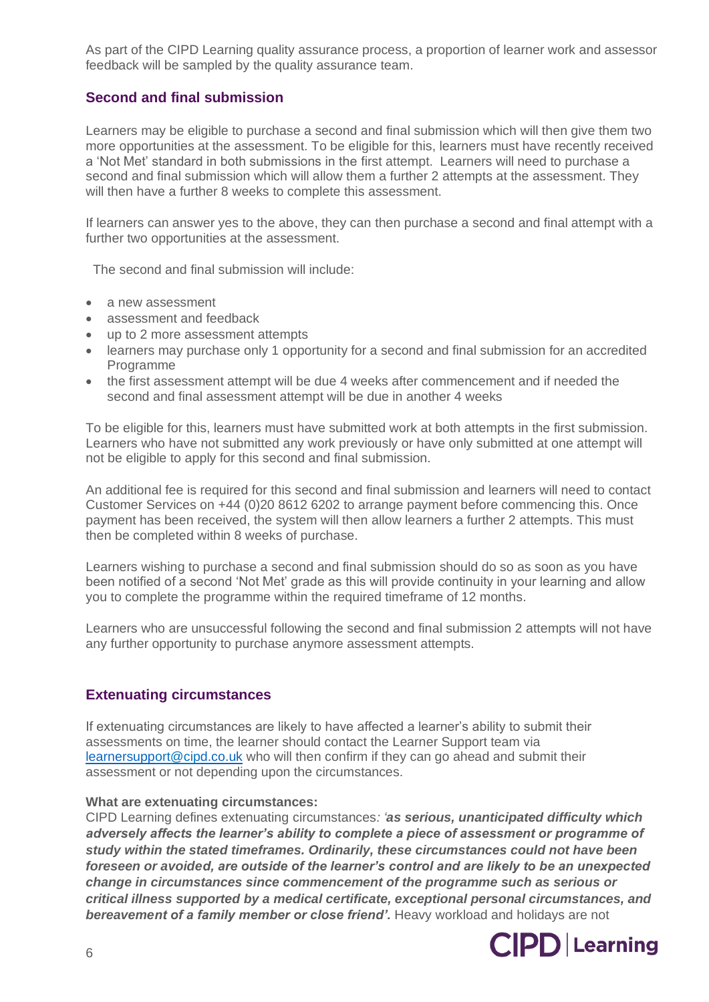As part of the CIPD Learning quality assurance process, a proportion of learner work and assessor feedback will be sampled by the quality assurance team.

# **Second and final submission**

Learners may be eligible to purchase a second and final submission which will then give them two more opportunities at the assessment. To be eligible for this, learners must have recently received a 'Not Met' standard in both submissions in the first attempt. Learners will need to purchase a second and final submission which will allow them a further 2 attempts at the assessment. They will then have a further 8 weeks to complete this assessment.

If learners can answer yes to the above, they can then purchase a second and final attempt with a further two opportunities at the assessment.

The second and final submission will include:

- a new assessment
- assessment and feedback
- up to 2 more assessment attempts
- learners may purchase only 1 opportunity for a second and final submission for an accredited Programme
- the first assessment attempt will be due 4 weeks after commencement and if needed the second and final assessment attempt will be due in another 4 weeks

To be eligible for this, learners must have submitted work at both attempts in the first submission. Learners who have not submitted any work previously or have only submitted at one attempt will not be eligible to apply for this second and final submission.

An additional fee is required for this second and final submission and learners will need to contact Customer Services on +44 (0)20 8612 6202 to arrange payment before commencing this. Once payment has been received, the system will then allow learners a further 2 attempts. This must then be completed within 8 weeks of purchase.

Learners wishing to purchase a second and final submission should do so as soon as you have been notified of a second 'Not Met' grade as this will provide continuity in your learning and allow you to complete the programme within the required timeframe of 12 months.

Learners who are unsuccessful following the second and final submission 2 attempts will not have any further opportunity to purchase anymore assessment attempts.

## **Extenuating circumstances**

If extenuating circumstances are likely to have affected a learner's ability to submit their assessments on time, the learner should contact the Learner Support team via [learnersupport@cipd.co.uk](mailto:learnersupport@cipd.co.uk) who will then confirm if they can go ahead and submit their assessment or not depending upon the circumstances.

#### **What are extenuating circumstances:**

CIPD Learning defines extenuating circumstances*: 'as serious, unanticipated difficulty which adversely affects the learner's ability to complete a piece of assessment or programme of study within the stated timeframes. Ordinarily, these circumstances could not have been foreseen or avoided, are outside of the learner's control and are likely to be an unexpected change in circumstances since commencement of the programme such as serious or critical illness supported by a medical certificate, exceptional personal circumstances, and bereavement of a family member or close friend'.* Heavy workload and holidays are not

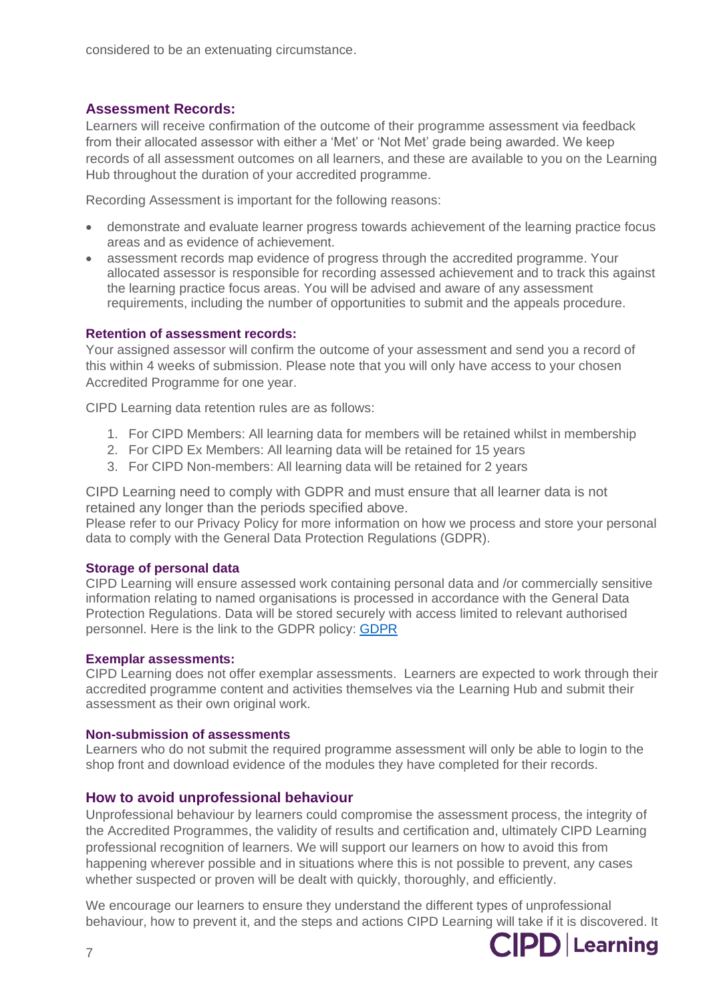## **Assessment Records:**

Learners will receive confirmation of the outcome of their programme assessment via feedback from their allocated assessor with either a 'Met' or 'Not Met' grade being awarded. We keep records of all assessment outcomes on all learners, and these are available to you on the Learning Hub throughout the duration of your accredited programme.

Recording Assessment is important for the following reasons:

- demonstrate and evaluate learner progress towards achievement of the learning practice focus areas and as evidence of achievement.
- assessment records map evidence of progress through the accredited programme. Your allocated assessor is responsible for recording assessed achievement and to track this against the learning practice focus areas. You will be advised and aware of any assessment requirements, including the number of opportunities to submit and the appeals procedure.

## **Retention of assessment records:**

Your assigned assessor will confirm the outcome of your assessment and send you a record of this within 4 weeks of submission. Please note that you will only have access to your chosen Accredited Programme for one year.

CIPD Learning data retention rules are as follows:

- 1. For CIPD Members: All learning data for members will be retained whilst in membership
- 2. For CIPD Ex Members: All learning data will be retained for 15 years
- 3. For CIPD Non-members: All learning data will be retained for 2 years

CIPD Learning need to comply with GDPR and must ensure that all learner data is not retained any longer than the periods specified above.

Please refer to our Privacy Policy for more information on how we process and store your personal data to comply with the General Data Protection Regulations (GDPR).

#### **Storage of personal data**

CIPD Learning will ensure assessed work containing personal data and /or commercially sensitive information relating to named organisations is processed in accordance with the General Data Protection Regulations. Data will be stored securely with access limited to relevant authorised personnel. Here is the link to the [GDPR](https://www.cipd.co.uk/Images/gdpr-policy-february-2022_tcm18-105646.pdf) policy: **GDPR** 

#### **Exemplar assessments:**

CIPD Learning does not offer exemplar assessments.Learners are expected to work through their accredited programme content and activities themselves via the Learning Hub and submit their assessment as their own original work.

#### **Non-submission of assessments**

Learners who do not submit the required programme assessment will only be able to login to the shop front and download evidence of the modules they have completed for their records.

## **How to avoid unprofessional behaviour**

Unprofessional behaviour by learners could compromise the assessment process, the integrity of the Accredited Programmes, the validity of results and certification and, ultimately CIPD Learning professional recognition of learners. We will support our learners on how to avoid this from happening wherever possible and in situations where this is not possible to prevent, any cases whether suspected or proven will be dealt with quickly, thoroughly, and efficiently.

We encourage our learners to ensure they understand the different types of unprofessional behaviour, how to prevent it, and the steps and actions CIPD Learning will take if it is discovered. It

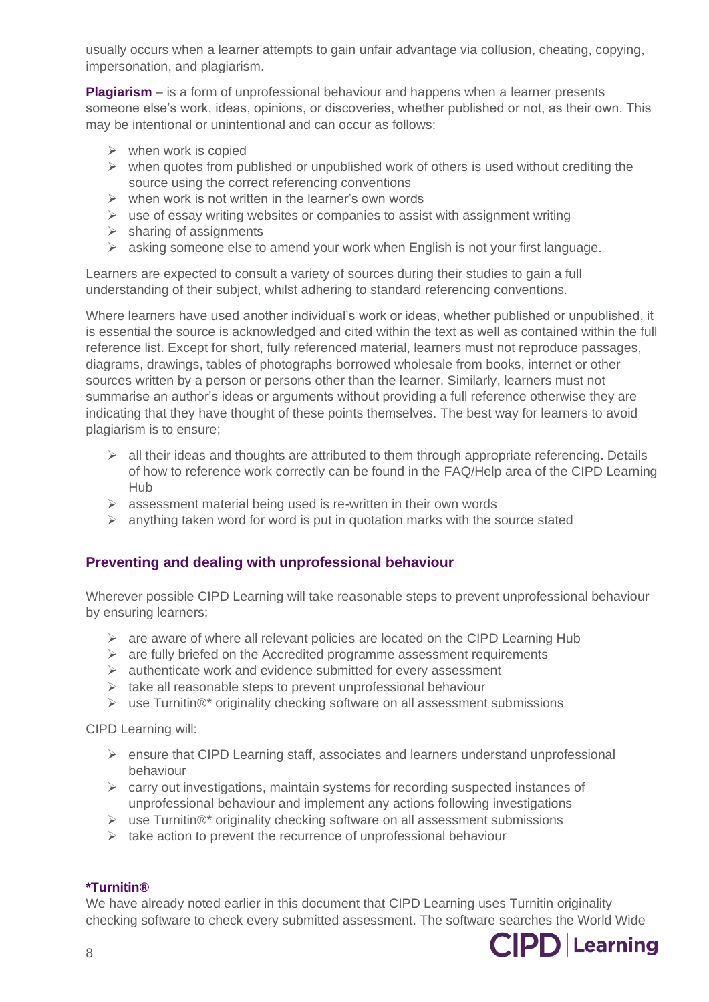usually occurs when a learner attempts to gain unfair advantage via collusion, cheating, copying, impersonation, and plagiarism.

**Plagiarism** – is a form of unprofessional behaviour and happens when a learner presents someone else's work, ideas, opinions, or discoveries, whether published or not, as their own. This may be intentional or unintentional and can occur as follows:

- $\triangleright$  when work is copied
- $\triangleright$  when quotes from published or unpublished work of others is used without crediting the source using the correct referencing conventions
- $\triangleright$  when work is not written in the learner's own words
- $\triangleright$  use of essay writing websites or companies to assist with assignment writing
- $\triangleright$  sharing of assignments
- $\triangleright$  asking someone else to amend your work when English is not your first language.

Learners are expected to consult a variety of sources during their studies to gain a full understanding of their subject, whilst adhering to standard referencing conventions.

Where learners have used another individual's work or ideas, whether published or unpublished, it is essential the source is acknowledged and cited within the text as well as contained within the full reference list. Except for short, fully referenced material, learners must not reproduce passages, diagrams, drawings, tables of photographs borrowed wholesale from books, internet or other sources written by a person or persons other than the learner. Similarly, learners must not summarise an author's ideas or arguments without providing a full reference otherwise they are indicating that they have thought of these points themselves. The best way for learners to avoid plagiarism is to ensure;

- $\triangleright$  all their ideas and thoughts are attributed to them through appropriate referencing. Details of how to reference work correctly can be found in the FAQ/Help area of the CIPD Learning Hub
- $\geq$  assessment material being used is re-written in their own words
- $\triangleright$  anything taken word for word is put in quotation marks with the source stated

# **Preventing and dealing with unprofessional behaviour**

Wherever possible CIPD Learning will take reasonable steps to prevent unprofessional behaviour by ensuring learners;

- $\triangleright$  are aware of where all relevant policies are located on the CIPD Learning Hub
- $\triangleright$  are fully briefed on the Accredited programme assessment requirements
- ➢ authenticate work and evidence submitted for every assessment
- $\triangleright$  take all reasonable steps to prevent unprofessional behaviour
- ➢ use Turnitin®\* originality checking software on all assessment submissions

CIPD Learning will:

- $\triangleright$  ensure that CIPD Learning staff, associates and learners understand unprofessional behaviour
- $\triangleright$  carry out investigations, maintain systems for recording suspected instances of unprofessional behaviour and implement any actions following investigations
- $\triangleright$  use Turnitin®\* originality checking software on all assessment submissions
- $\triangleright$  take action to prevent the recurrence of unprofessional behaviour

## **\*Turnitin®**

We have already noted earlier in this document that CIPD Learning uses Turnitin originality checking software to check every submitted assessment. The software searches the World Wide

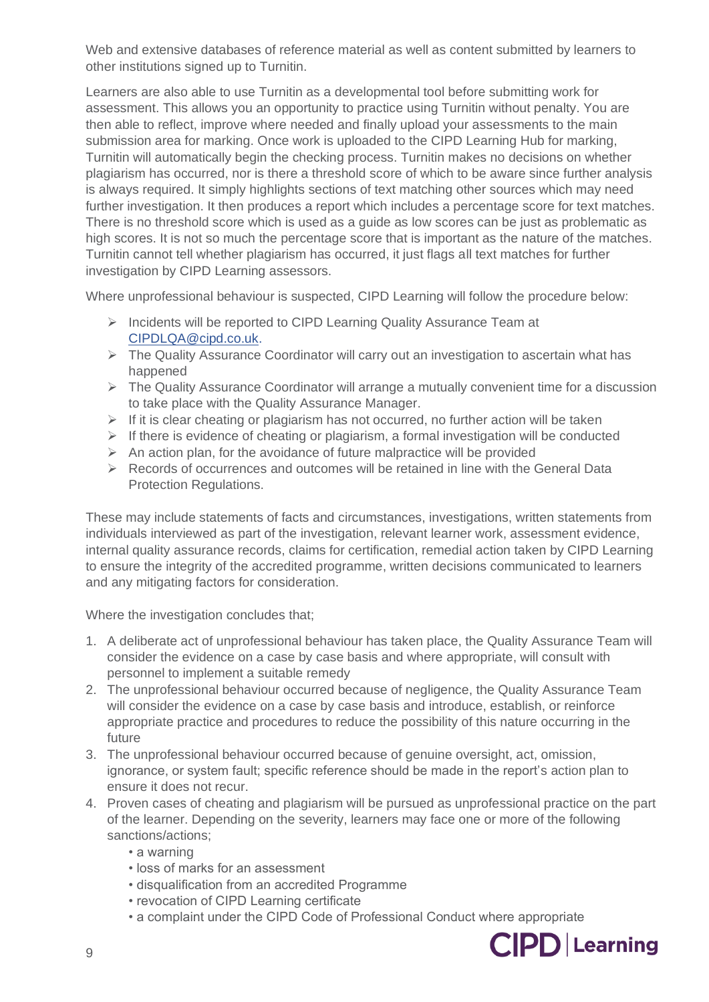Web and extensive databases of reference material as well as content submitted by learners to other institutions signed up to Turnitin.

Learners are also able to use Turnitin as a developmental tool before submitting work for assessment. This allows you an opportunity to practice using Turnitin without penalty. You are then able to reflect, improve where needed and finally upload your assessments to the main submission area for marking. Once work is uploaded to the CIPD Learning Hub for marking, Turnitin will automatically begin the checking process. Turnitin makes no decisions on whether plagiarism has occurred, nor is there a threshold score of which to be aware since further analysis is always required. It simply highlights sections of text matching other sources which may need further investigation. It then produces a report which includes a percentage score for text matches. There is no threshold score which is used as a guide as low scores can be just as problematic as high scores. It is not so much the percentage score that is important as the nature of the matches. Turnitin cannot tell whether plagiarism has occurred, it just flags all text matches for further investigation by CIPD Learning assessors.

Where unprofessional behaviour is suspected, CIPD Learning will follow the procedure below:

- ➢ Incidents will be reported to CIPD Learning Quality Assurance Team at [CIPDLQA@cipd.co.uk.](mailto:CIPDLQA@cipd.co.uk)
- ➢ The Quality Assurance Coordinator will carry out an investigation to ascertain what has happened
- ➢ The Quality Assurance Coordinator will arrange a mutually convenient time for a discussion to take place with the Quality Assurance Manager.
- ➢ If it is clear cheating or plagiarism has not occurred, no further action will be taken
- $\triangleright$  If there is evidence of cheating or plagiarism, a formal investigation will be conducted
- $\triangleright$  An action plan, for the avoidance of future malpractice will be provided
- $\triangleright$  Records of occurrences and outcomes will be retained in line with the General Data Protection Regulations.

These may include statements of facts and circumstances, investigations, written statements from individuals interviewed as part of the investigation, relevant learner work, assessment evidence, internal quality assurance records, claims for certification, remedial action taken by CIPD Learning to ensure the integrity of the accredited programme, written decisions communicated to learners and any mitigating factors for consideration.

Where the investigation concludes that;

- 1. A deliberate act of unprofessional behaviour has taken place, the Quality Assurance Team will consider the evidence on a case by case basis and where appropriate, will consult with personnel to implement a suitable remedy
- 2. The unprofessional behaviour occurred because of negligence, the Quality Assurance Team will consider the evidence on a case by case basis and introduce, establish, or reinforce appropriate practice and procedures to reduce the possibility of this nature occurring in the future
- 3. The unprofessional behaviour occurred because of genuine oversight, act, omission, ignorance, or system fault; specific reference should be made in the report's action plan to ensure it does not recur.
- 4. Proven cases of cheating and plagiarism will be pursued as unprofessional practice on the part of the learner. Depending on the severity, learners may face one or more of the following sanctions/actions;
	- a warning
	- loss of marks for an assessment
	- disqualification from an accredited Programme
	- revocation of CIPD Learning certificate
	- a complaint under the CIPD Code of Professional Conduct where appropriate